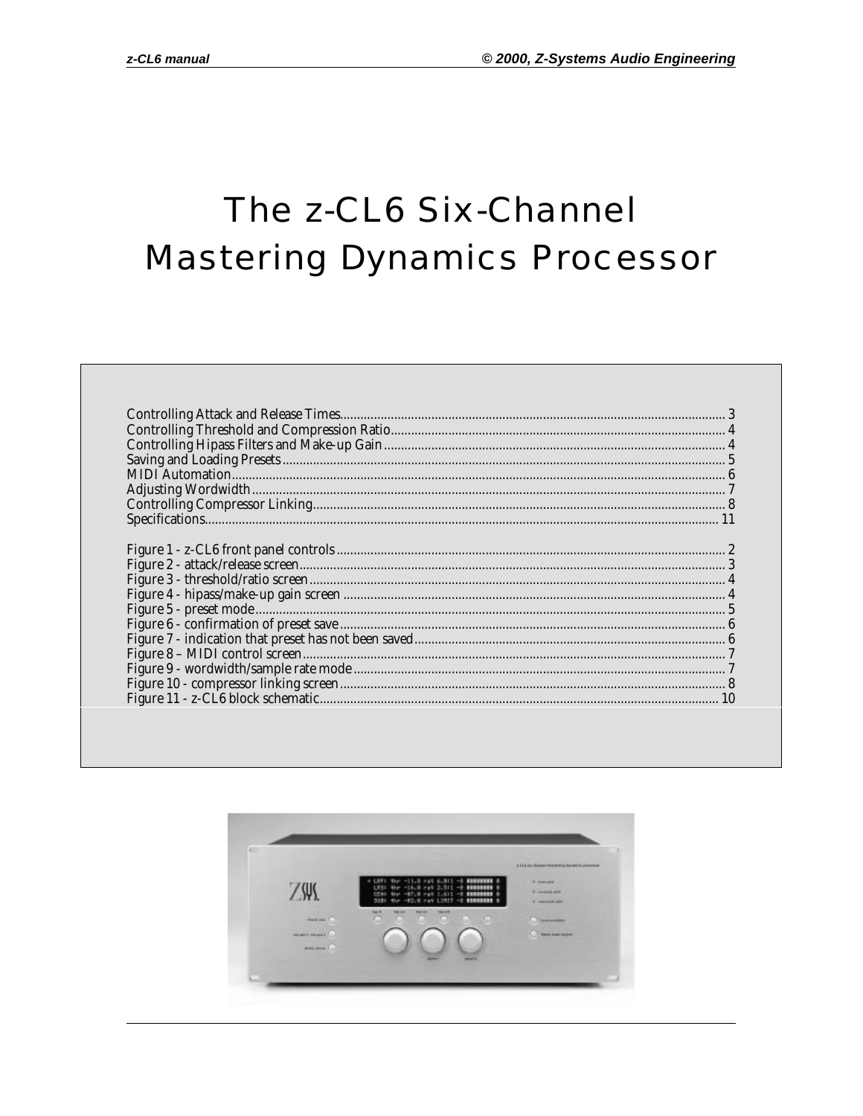# The z-CL6 Six-Channel **Mastering Dynamics Processor**

| $\begin{minipage}{0.9\linewidth} \textbf{Controlling Attack and Release Times.} \end{minipage} \begin{minipage}{0.9\linewidth} \textbf{2} \end{minipage} \begin{minipage}{0.9\linewidth} \textbf{3} \end{minipage} \begin{minipage}{0.9\linewidth} \textbf{4} \end{minipage} \begin{minipage}{0.9\linewidth} \textbf{5} \end{minipage} \begin{minipage}{0.9\linewidth} \textbf{6} \end{minipage} \begin{minipage}{0.9\linewidth} \textbf{6} \end{minipage} \begin{minipage}{0.9\linewidth} \textbf{6} \end{minipage} \begin{minipage$ |  |
|---------------------------------------------------------------------------------------------------------------------------------------------------------------------------------------------------------------------------------------------------------------------------------------------------------------------------------------------------------------------------------------------------------------------------------------------------------------------------------------------------------------------------------------|--|
|                                                                                                                                                                                                                                                                                                                                                                                                                                                                                                                                       |  |
|                                                                                                                                                                                                                                                                                                                                                                                                                                                                                                                                       |  |
|                                                                                                                                                                                                                                                                                                                                                                                                                                                                                                                                       |  |
|                                                                                                                                                                                                                                                                                                                                                                                                                                                                                                                                       |  |
|                                                                                                                                                                                                                                                                                                                                                                                                                                                                                                                                       |  |
|                                                                                                                                                                                                                                                                                                                                                                                                                                                                                                                                       |  |
|                                                                                                                                                                                                                                                                                                                                                                                                                                                                                                                                       |  |
|                                                                                                                                                                                                                                                                                                                                                                                                                                                                                                                                       |  |
|                                                                                                                                                                                                                                                                                                                                                                                                                                                                                                                                       |  |
|                                                                                                                                                                                                                                                                                                                                                                                                                                                                                                                                       |  |

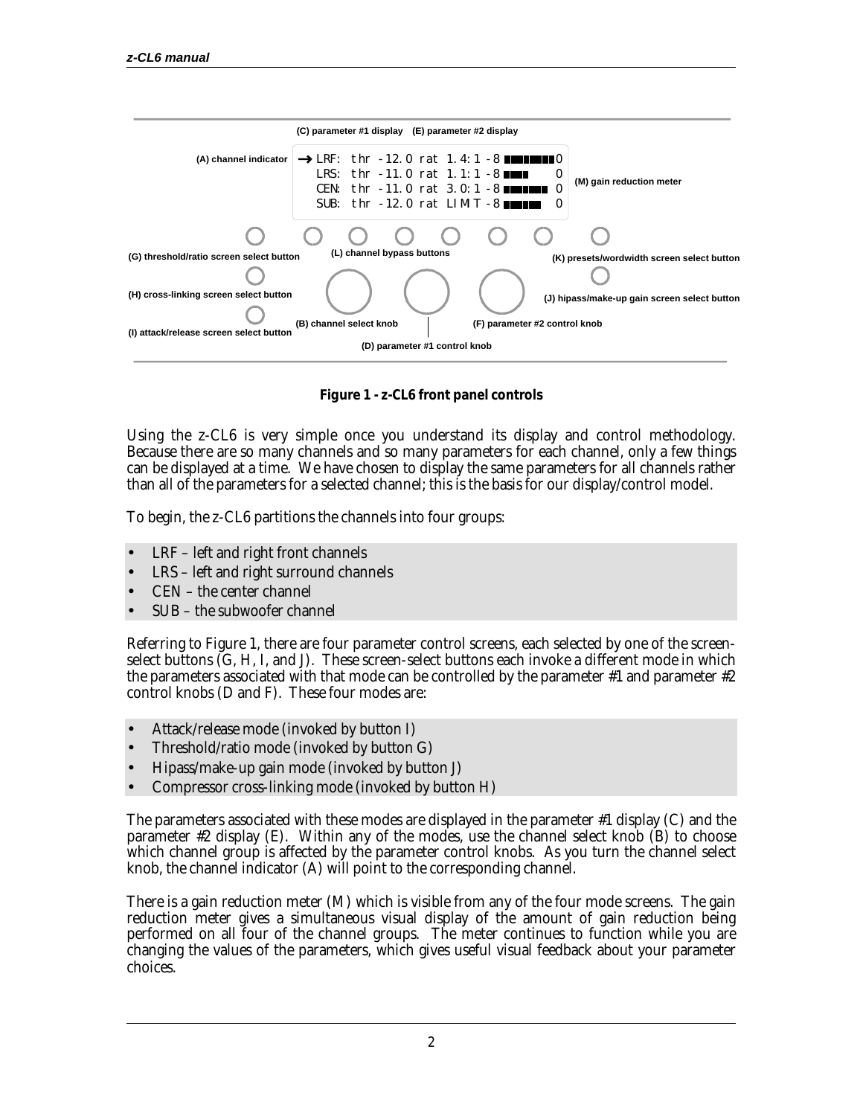

**Figure 1 - z-CL6 front panel controls**

Using the z-CL6 is very simple once you understand its display and control methodology. Because there are so many channels and so many parameters for each channel, only a few things can be displayed at a time. We have chosen to display the same parameters for all channels rather than all of the parameters for a selected channel; this is the basis for our display/control model.

To begin, the z-CL6 partitions the channels into four groups:

- LRF left and right front channels
- LRS left and right surround channels
- CEN the center channel
- SUB the subwoofer channel

Referring to Figure 1, there are four parameter control screens, each selected by one of the screenselect buttons (G, H, I, and J). These screen-select buttons each invoke a different mode in which the parameters associated with that mode can be controlled by the parameter #1 and parameter #2 control knobs (D and F). These four modes are:

- Attack/release mode (invoked by button I)
- Threshold/ratio mode (invoked by button G)
- Hipass/make-up gain mode (invoked by button J)
- Compressor cross-linking mode (invoked by button H)

The parameters associated with these modes are displayed in the parameter #1 display (C) and the parameter #2 display (E). Within any of the modes, use the channel select knob (B) to choose which channel group is affected by the parameter control knobs. As you turn the channel select knob, the channel indicator (A) will point to the corresponding channel.

There is a gain reduction meter (M) which is visible from any of the four mode screens. The gain reduction meter gives a simultaneous visual display of the amount of gain reduction being performed on all four of the channel groups. The meter continues to function while you are changing the values of the parameters, which gives useful visual feedback about your parameter choices.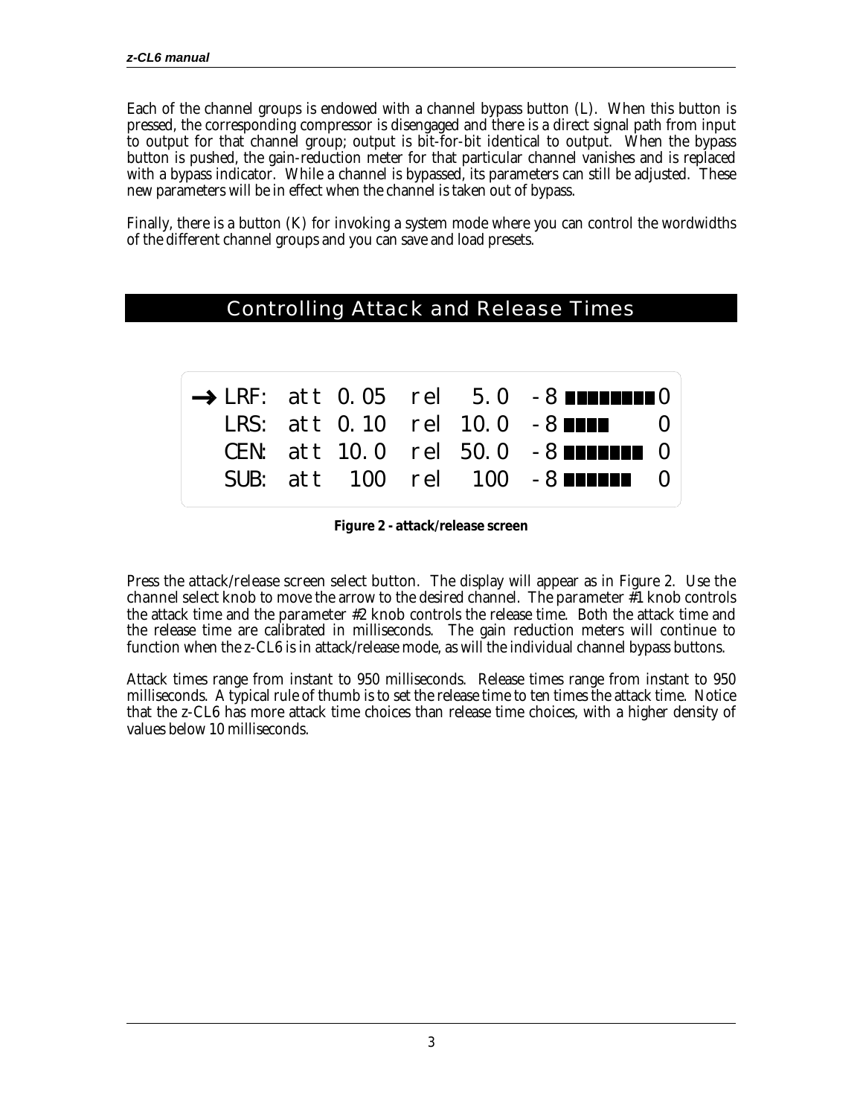Each of the channel groups is endowed with a channel bypass button (L). When this button is pressed, the corresponding compressor is disengaged and there is a direct signal path from input to output for that channel group; output is bit-for-bit identical to output. When the bypass button is pushed, the gain-reduction meter for that particular channel vanishes and is replaced with a bypass indicator. While a channel is bypassed, its parameters can still be adjusted. These new parameters will be in effect when the channel is taken out of bypass.

Finally, there is a button (K) for invoking a system mode where you can control the wordwidths of the different channel groups and you can save and load presets.

|  |  | <b>Controlling Attack and Release Times</b>                |
|--|--|------------------------------------------------------------|
|  |  |                                                            |
|  |  |                                                            |
|  |  | $\rightarrow$ LRF: att 0.05 rel 5.0 -8 <b>IIIIIIIII</b> II |
|  |  | LRS: att 0.10 rel 10.0 -8 <b>ANNI</b><br>$\bigcup$         |
|  |  | CEN: att 10.0 rel 50.0 -8 <b>ANNING</b> 0                  |
|  |  |                                                            |
|  |  |                                                            |

**Figure 2 - attack/release screen**

Press the **attack/release screen select button**. The display will appear as in Figure 2. Use the channel select knob to move the arrow to the desired channel. The parameter #1 knob controls the attack time and the **parameter #2 knob** controls the release time. Both the attack time and the release time are calibrated in milliseconds. The gain reduction meters will continue to function when the z-CL6 is in attack/release mode, as will the individual channel bypass buttons.

Attack times range from instant to 950 milliseconds. Release times range from instant to 950 milliseconds. A typical rule of thumb is to set the release time to ten times the attack time. Notice that the z-CL6 has more attack time choices than release time choices, with a higher density of values below 10 milliseconds.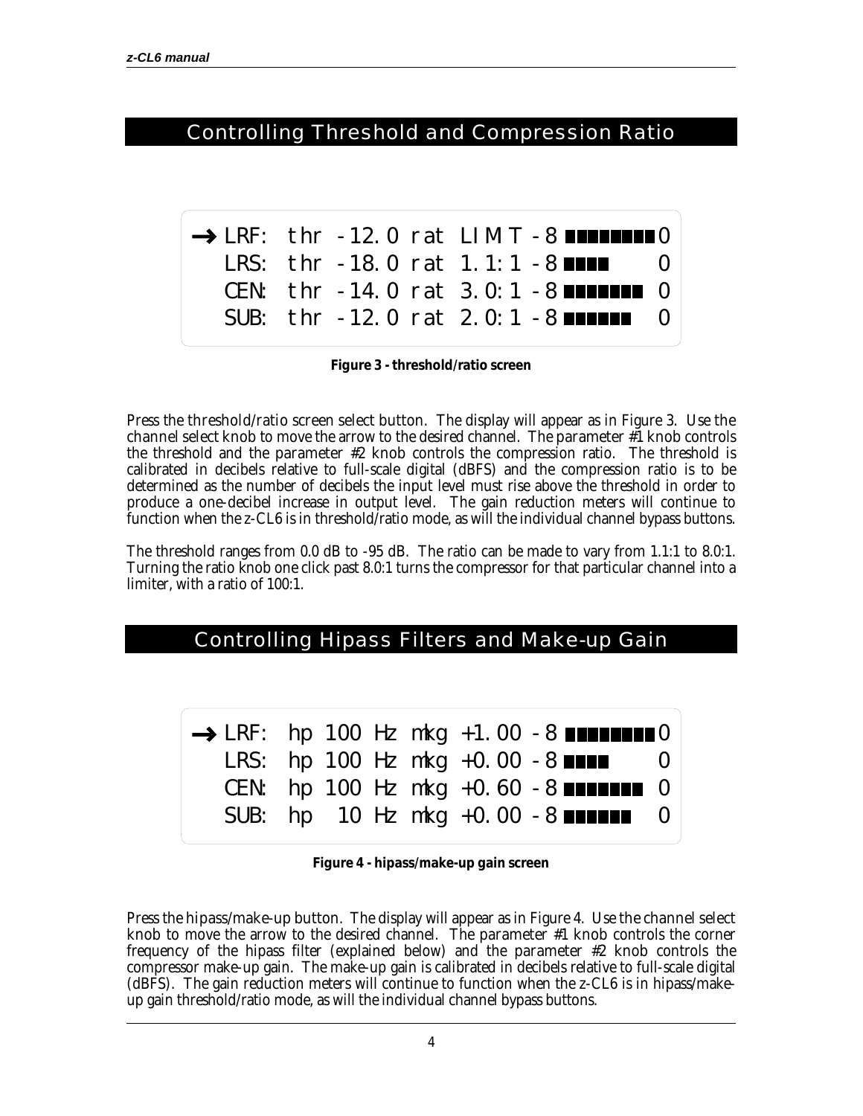#### Controlling Threshold and Compression Ratio

|  |  | $\rightarrow$ LRF: thr -12.0 rat LIMIT -8 <b>INITIERS</b> |  |
|--|--|-----------------------------------------------------------|--|
|  |  | LRS: thr -18.0 rat 1.1:1 -8                               |  |
|  |  | CEN: thr -14.0 rat 3.0:1 -8 $\blacksquare$                |  |
|  |  | SUB: thr -12.0 rat 2.0:1 -8 $\blacksquare$                |  |

**Figure 3 - threshold/ratio screen**

Press the **threshold/ratio screen select button**. The display will appear as in Figure 3. Use **the channel select knob** to move the arrow to the desired channel. The **parameter #1 knob** controls the threshold and the **parameter #2 knob** controls the compression ratio. The threshold is calibrated in decibels relative to full-scale digital (dBFS) and the compression ratio is to be determined as the number of decibels the input level must rise above the threshold in order to produce a one-decibel increase in output level. The gain reduction meters will continue to function when the z-CL6 is in threshold/ratio mode, as will the individual channel bypass buttons.

The threshold ranges from 0.0 dB to -95 dB. The ratio can be made to vary from 1.1:1 to 8.0:1. Turning the ratio knob one click past 8.0:1 turns the compressor for that particular channel into a limiter, with a ratio of 100:1.

#### Controlling Hipass Filters and Make-up Gain

|  |  |  | $\rightarrow$ LRF: hp 100 Hz mkg +1.00 -8 <b>HIMMINIO</b> |  |
|--|--|--|-----------------------------------------------------------|--|
|  |  |  | LRS: hp 100 Hz mkg +0.00 -8 $\blacksquare$ 0              |  |
|  |  |  | CEN: hp 100 Hz mkg +0.60 -8 $\blacksquare$                |  |
|  |  |  | SUB: hp $10$ Hz mkg $+0.00$ $-8$ <b>Neighbor</b> 0        |  |

**Figure 4 - hipass/make-up gain screen**

Press the **hipass/make-up button**. The display will appear as in Figure 4. Use **the channel select** knob to move the arrow to the desired channel. The parameter #1 knob controls the corner frequency of the hipass filter (explained below) and the **parameter #2 knob** controls the compressor make-up gain. The make-up gain is calibrated in decibels relative to full-scale digital (dBFS). The gain reduction meters will continue to function when the z-CL6 is in hipass/makeup gain threshold/ratio mode, as will the individual channel bypass buttons.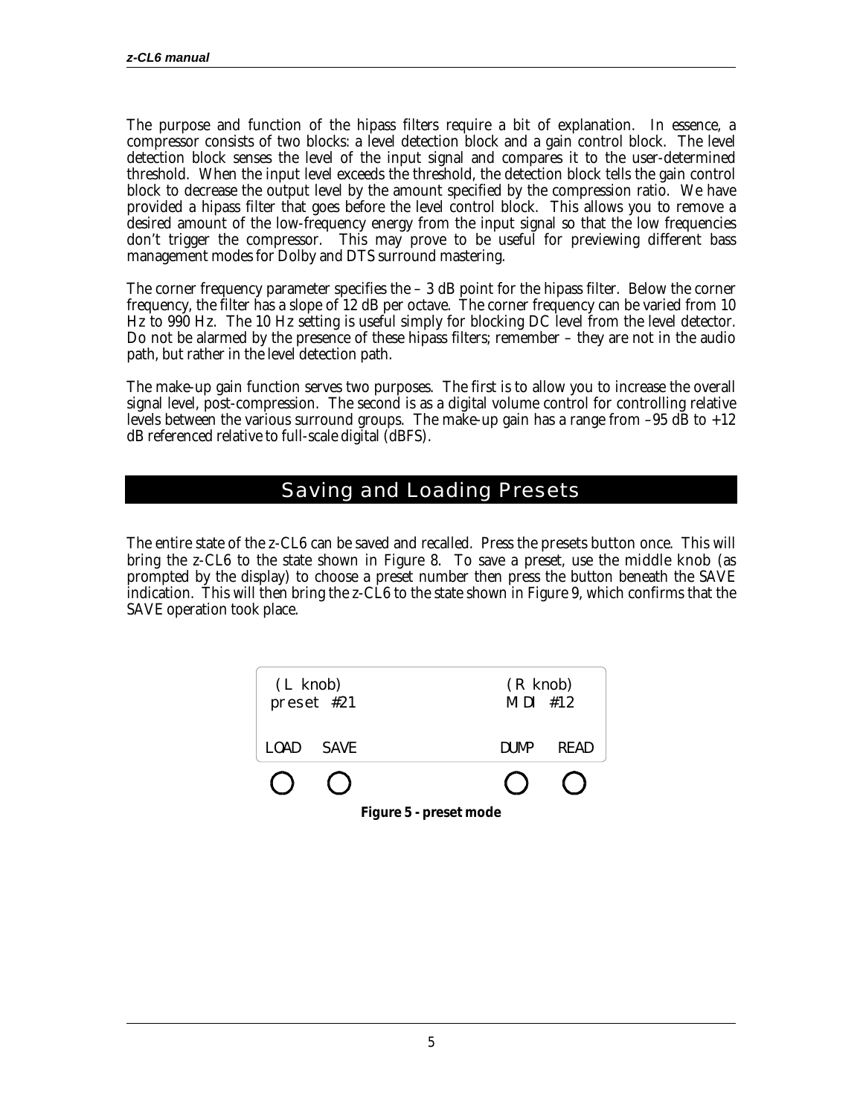The purpose and function of the hipass filters require a bit of explanation. In essence, a compressor consists of two blocks: a level detection block and a gain control block. The level detection block senses the level of the input signal and compares it to the user-determined threshold. When the input level exceeds the threshold, the detection block tells the gain control block to decrease the output level by the amount specified by the compression ratio. We have provided a hipass filter that goes before the level control block. This allows you to remove a desired amount of the low-frequency energy from the input signal so that the low frequencies don't trigger the compressor. This may prove to be useful for previewing different bass management modes for Dolby and DTS surround mastering.

The corner frequency parameter specifies the  $-3$  dB point for the hipass filter. Below the corner frequency, the filter has a slope of 12 dB per octave. The corner frequency can be varied from 10 Hz to 990 Hz. The 10 Hz setting is useful simply for blocking DC level from the level detector. Do not be alarmed by the presence of these hipass filters; remember – they are not in the audio path, but rather in the level detection path.

The make-up gain function serves two purposes. The first is to allow you to increase the overall signal level, post-compression. The second is as a digital volume control for controlling relative levels between the various surround groups. The make-up gain has a range from  $-95$  dB to  $+12$ dB referenced relative to full-scale digital (dBFS).

#### Saving and Loading Presets

The entire state of the z-CL6 can be saved and recalled. Press the **presets button** once. This will bring the z-CL6 to the state shown in Figure 8. To save a preset, use the **middle knob** (as prompted by the display) to choose a preset number then press the button beneath the SAVE indication. This will then bring the z-CL6 to the state shown in Figure 9, which confirms that the SAVE operation took place.

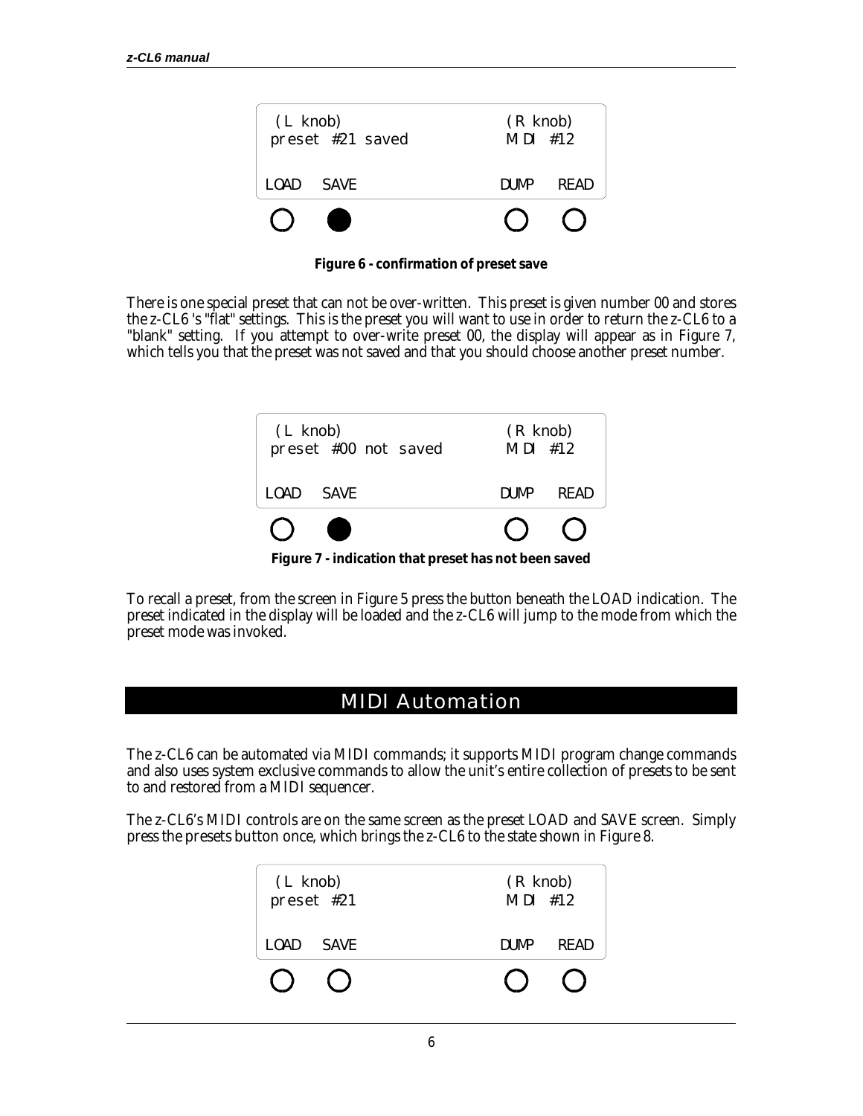

**Figure 6 - confirmation of preset save**

There is one special preset that can not be over-written. This preset is given number 00 and stores the z-CL6 's "flat" settings. This is the preset you will want to use in order to return the z-CL6 to a "blank" setting. If you attempt to over-write preset 00, the display will appear as in Figure 7, which tells you that the preset was not saved and that you should choose another preset number.



**Figure 7 - indication that preset has not been saved**

To recall a preset, from the screen in Figure 5 press the button beneath the LOAD indication. The preset indicated in the display will be loaded and the z-CL6 will jump to the mode from which the preset mode was invoked.

#### MIDI Automation

The z-CL6 can be automated via MIDI commands; it supports MIDI program change commands and also uses system exclusive commands to allow the unit's entire collection of presets to be sent to and restored from a MIDI sequencer.

The z-CL6's MIDI controls are on the same screen as the preset LOAD and SAVE screen. Simply press the **presets button** once, which brings the z-CL6 to the state shown in Figure 8.

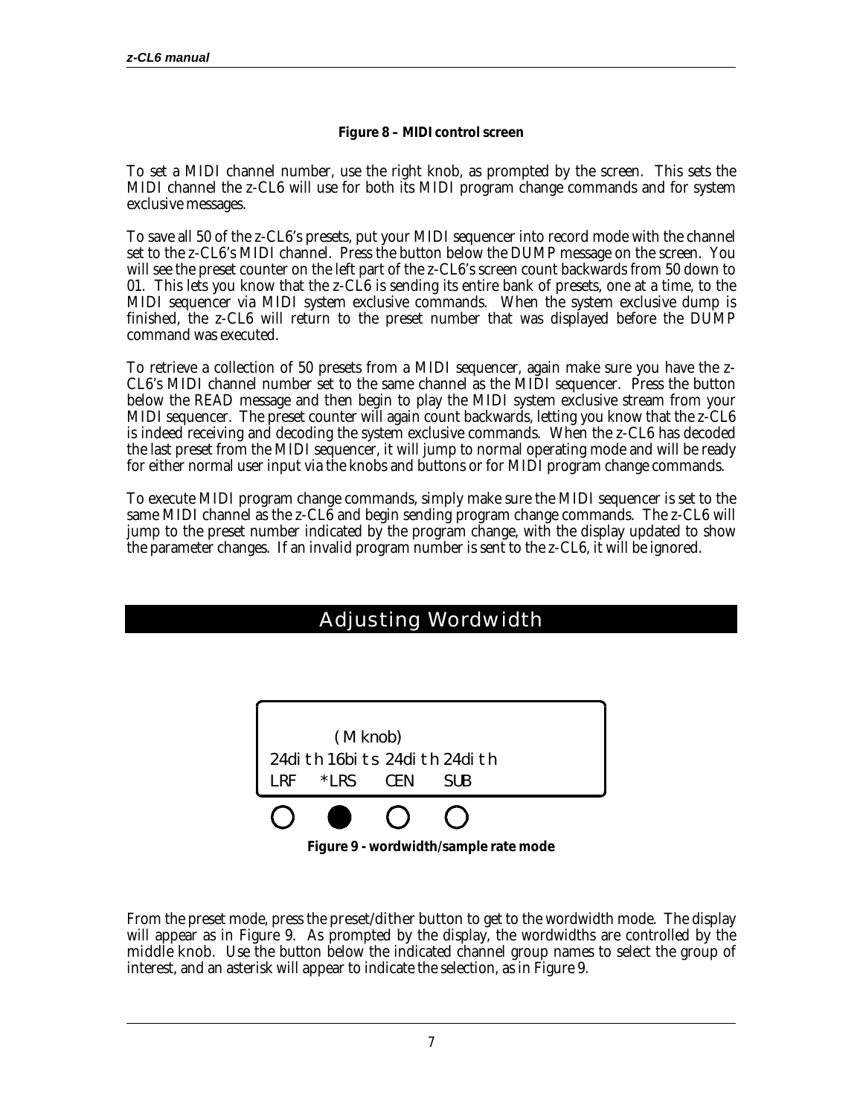#### **Figure 8 – MIDI control screen**

To set a MIDI channel number, use the right knob, as prompted by the screen. This sets the MIDI channel the z-CL6 will use for both its MIDI program change commands and for system exclusive messages.

To save all 50 of the z-CL6's presets, put your MIDI sequencer into record mode with the channel set to the z-CL6's MIDI channel. Press the button below the DUMP message on the screen. You will see the preset counter on the left part of the z-CL6's screen count backwards from 50 down to 01. This lets you know that the z-CL6 is sending its entire bank of presets, one at a time, to the MIDI sequencer via MIDI system exclusive commands. When the system exclusive dump is finished, the z-CL6 will return to the preset number that was displayed before the DUMP command was executed.

To retrieve a collection of 50 presets from a MIDI sequencer, again make sure you have the z-CL6's MIDI channel number set to the same channel as the MIDI sequencer. Press the button below the READ message and then begin to play the MIDI system exclusive stream from your MIDI sequencer. The preset counter will again count backwards, letting you know that the z-CL6 is indeed receiving and decoding the system exclusive commands. When the z-CL6 has decoded the last preset from the MIDI sequencer, it will jump to normal operating mode and will be ready for either normal user input via the knobs and buttons or for MIDI program change commands.

To execute MIDI program change commands, simply make sure the MIDI sequencer is set to the same MIDI channel as the z-CL6 and begin sending program change commands. The z-CL6 will jump to the preset number indicated by the program change, with the display updated to show the parameter changes. If an invalid program number is sent to the z-CL6, it will be ignored.

### Adjusting Wordwidth



**Figure 9 - wordwidth/sample rate mode**

From the preset mode, press the **preset/dither button** to get to the wordwidth mode. The display will appear as in Figure 9. As prompted by the display, the wordwidths are controlled by the **middle knob**. Use the button below the indicated channel group names to select the group of interest, and an asterisk will appear to indicate the selection, as in Figure 9.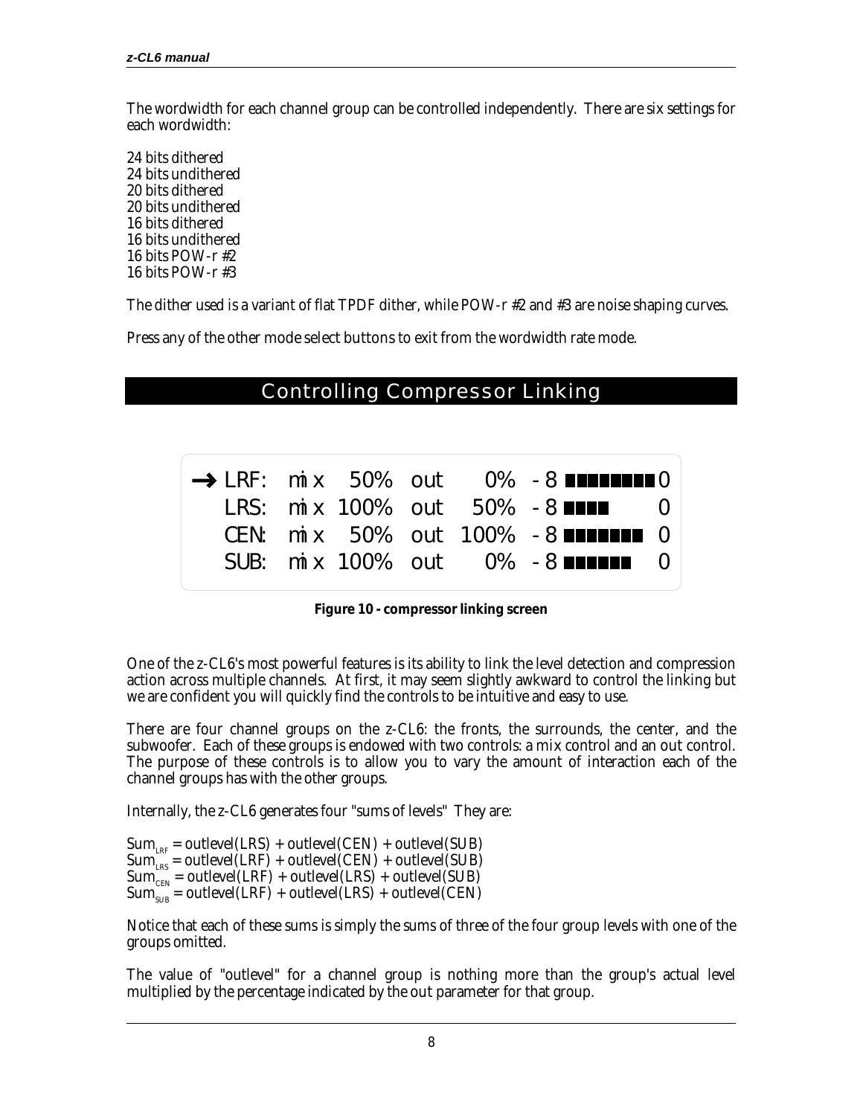The wordwidth for each channel group can be controlled independently. There are six settings for each wordwidth:

24 bits dithered 24 bits undithered 20 bits dithered 20 bits undithered 16 bits dithered 16 bits undithered 16 bits POW-r #2 16 bits POW-r #3

The dither used is a variant of flat TPDF dither, while POW-r #2 and #3 are noise shaping curves.

Press any of the other **mode select buttons** to exit from the wordwidth rate mode.

#### Controlling Compressor Linking

|  |  |  | $\rightarrow$ LRF: mix 50% out 0% -8 <b>EXPLESED</b> |  |
|--|--|--|------------------------------------------------------|--|
|  |  |  | LRS: mix 100% out $50\%$ -8                          |  |
|  |  |  | CEN: $mix$ 50% out 100% -8                           |  |
|  |  |  | SUB: mix 100% out $0\%$ -8 $\blacksquare$            |  |
|  |  |  |                                                      |  |

**Figure 10 - compressor linking screen**

One of the z-CL6's most powerful features is its ability to link the level detection and compression action across multiple channels. At first, it may seem slightly awkward to control the linking but we are confident you will quickly find the controls to be intuitive and easy to use.

There are four channel groups on the z-CL6: the fronts, the surrounds, the center, and the subwoofer. Each of these groups is endowed with two controls: a **mix** control and an **out** control. The purpose of these controls is to allow you to vary the amount of interaction each of the channel groups has with the other groups.

Internally, the z-CL6 generates four "sums of levels" They are:

 $Sum_{_{LRF}} = outlevel(LRS) + outlevel(CEN) + outlevel(SUB)$  $Sum_{res}^{max} = outlevel(LRF) + outlevel(CEN) + outlevel(SUB)$  $Sum_{CEN} = outlevel(LRF) + outlevel(LRS) + outlevel(SUB)$  $Sum_{SUB} = outlevel(LRF) + outlevel(LRS) + outlevel(CEN)$ 

Notice that each of these sums is simply the sums of three of the four group levels with one of the groups omitted.

The value of "outlevel" for a channel group is nothing more than the group's actual level multiplied by the percentage indicated by the **out** parameter for that group.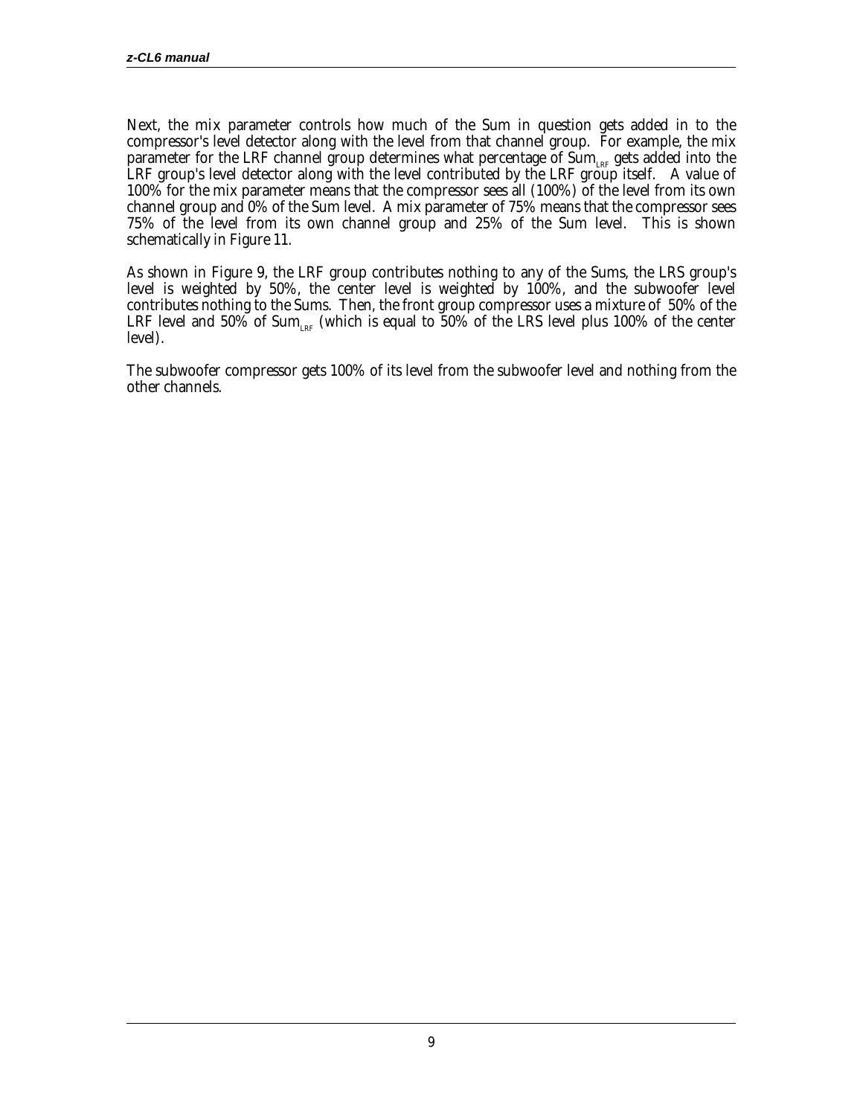Next, the **mix** parameter controls how much of the Sum in question gets added in to the compressor's level detector along with the level from that channel group. For example, the mix parameter for the LRF channel group determines what percentage of  $\text{Sum}_{\text{\tiny LRF}}$  gets added into the LRF group's level detector along with the level contributed by the LRF group itself. A value of 100% for the mix parameter means that the compressor sees all (100%) of the level from its own channel group and 0% of the Sum level. A mix parameter of 75% means that the compressor sees 75% of the level from its own channel group and 25% of the Sum level. This is shown schematically in Figure 11.

As shown in Figure 9, the LRF group contributes nothing to any of the Sums, the LRS group's level is weighted by 50%, the center level is weighted by 100%, and the subwoofer level contributes nothing to the Sums. Then, the front group compressor uses a mixture of 50% of the LRF level and 50% of Sum<sub>LRF</sub> (which is equal to 50% of the LRS level plus 100% of the center level).

The subwoofer compressor gets 100% of its level from the subwoofer level and nothing from the other channels.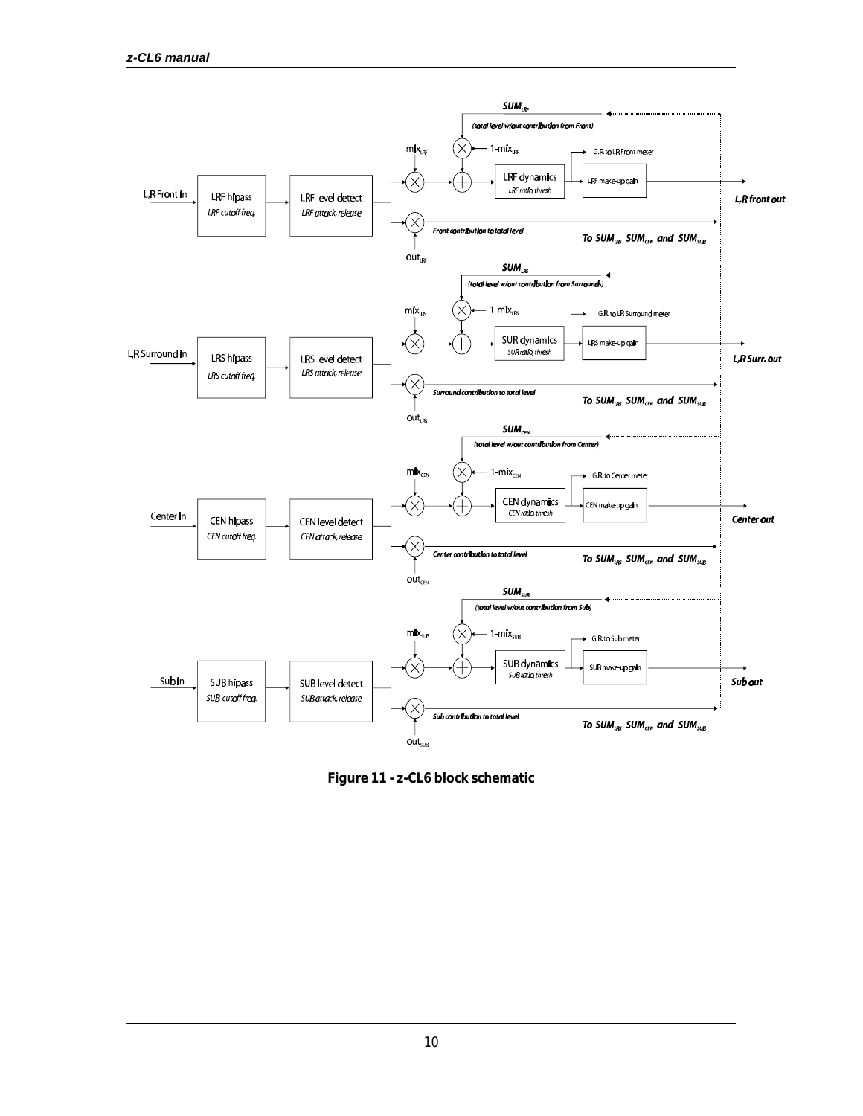

**Figure 11 - z-CL6 block schematic**